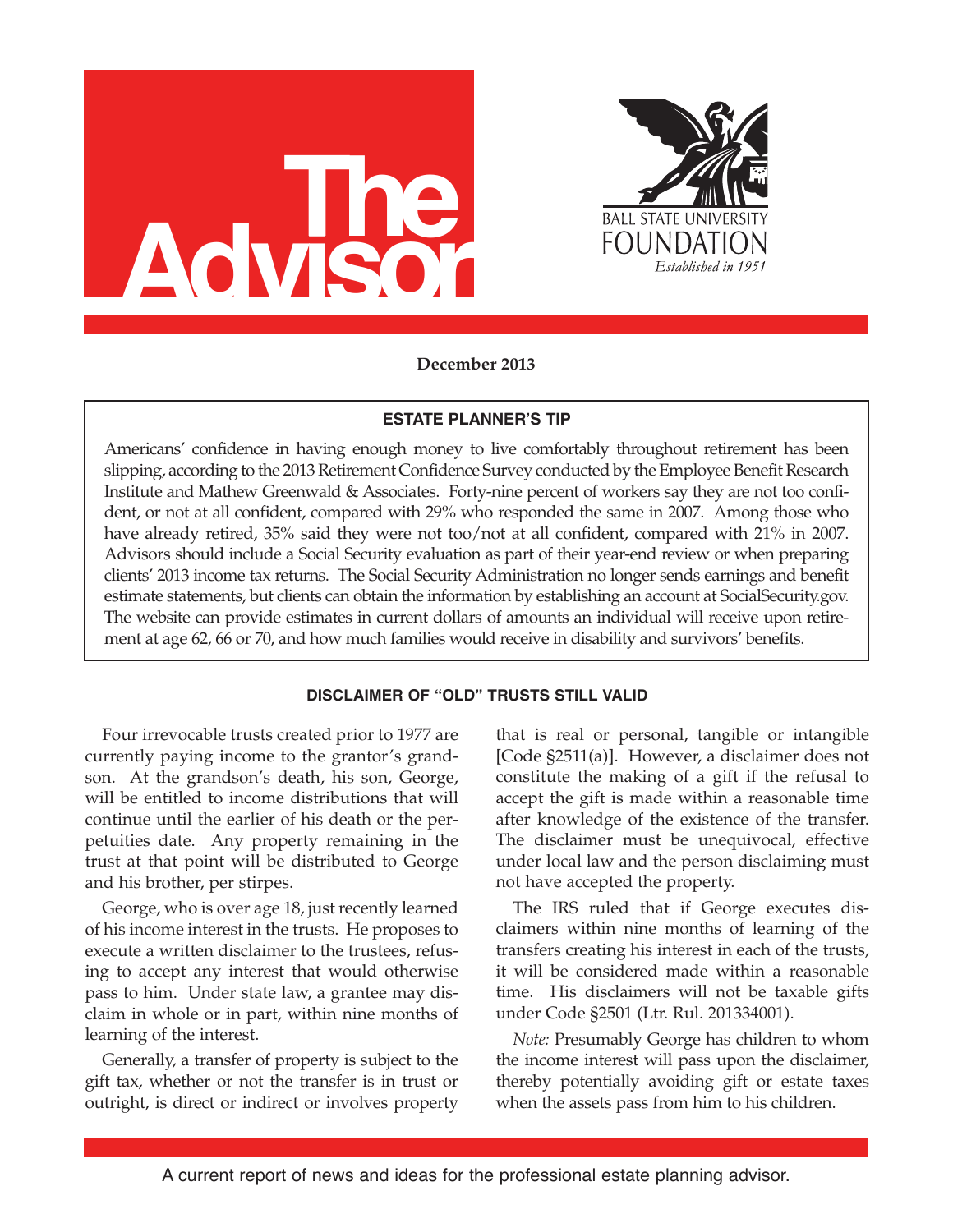



**December 2013**

## **ESTATE PLANNER'S TIP**

Americans' confidence in having enough money to live comfortably throughout retirement has been slipping, according to the 2013 Retirement Confidence Survey conducted by the Employee Benefit Research Institute and Mathew Greenwald & Associates. Forty-nine percent of workers say they are not too confident, or not at all confident, compared with 29% who responded the same in 2007. Among those who have already retired, 35% said they were not too/not at all confident, compared with 21% in 2007. Advisors should include a Social Security evaluation as part of their year-end review or when preparing clients' 2013 income tax returns. The Social Security Administration no longer sends earnings and benefit estimate statements, but clients can obtain the information by establishing an account at SocialSecurity.gov. The website can provide estimates in current dollars of amounts an individual will receive upon retirement at age 62, 66 or 70, and how much families would receive in disability and survivors' benefits.

# **DISCLAIMER OF "OLD" TRUSTS STILL VALID**

Four irrevocable trusts created prior to 1977 are currently paying income to the grantor's grandson. At the grandson's death, his son, George, will be entitled to income distributions that will continue until the earlier of his death or the perpetuities date. Any property remaining in the trust at that point will be distributed to George and his brother, per stirpes.

George, who is over age 18, just recently learned of his income interest in the trusts. He proposes to execute a written disclaimer to the trustees, refusing to accept any interest that would otherwise pass to him. Under state law, a grantee may disclaim in whole or in part, within nine months of learning of the interest.

Generally, a transfer of property is subject to the gift tax, whether or not the transfer is in trust or outright, is direct or indirect or involves property that is real or personal, tangible or intangible [Code §2511(a)]. However, a disclaimer does not constitute the making of a gift if the refusal to accept the gift is made within a reasonable time after knowledge of the existence of the transfer. The disclaimer must be unequivocal, effective under local law and the person disclaiming must not have accepted the property.

The IRS ruled that if George executes disclaimers within nine months of learning of the transfers creating his interest in each of the trusts, it will be considered made within a reasonable time. His disclaimers will not be taxable gifts under Code §2501 (Ltr. Rul. 201334001).

*Note:* Presumably George has children to whom the income interest will pass upon the disclaimer, thereby potentially avoiding gift or estate taxes when the assets pass from him to his children.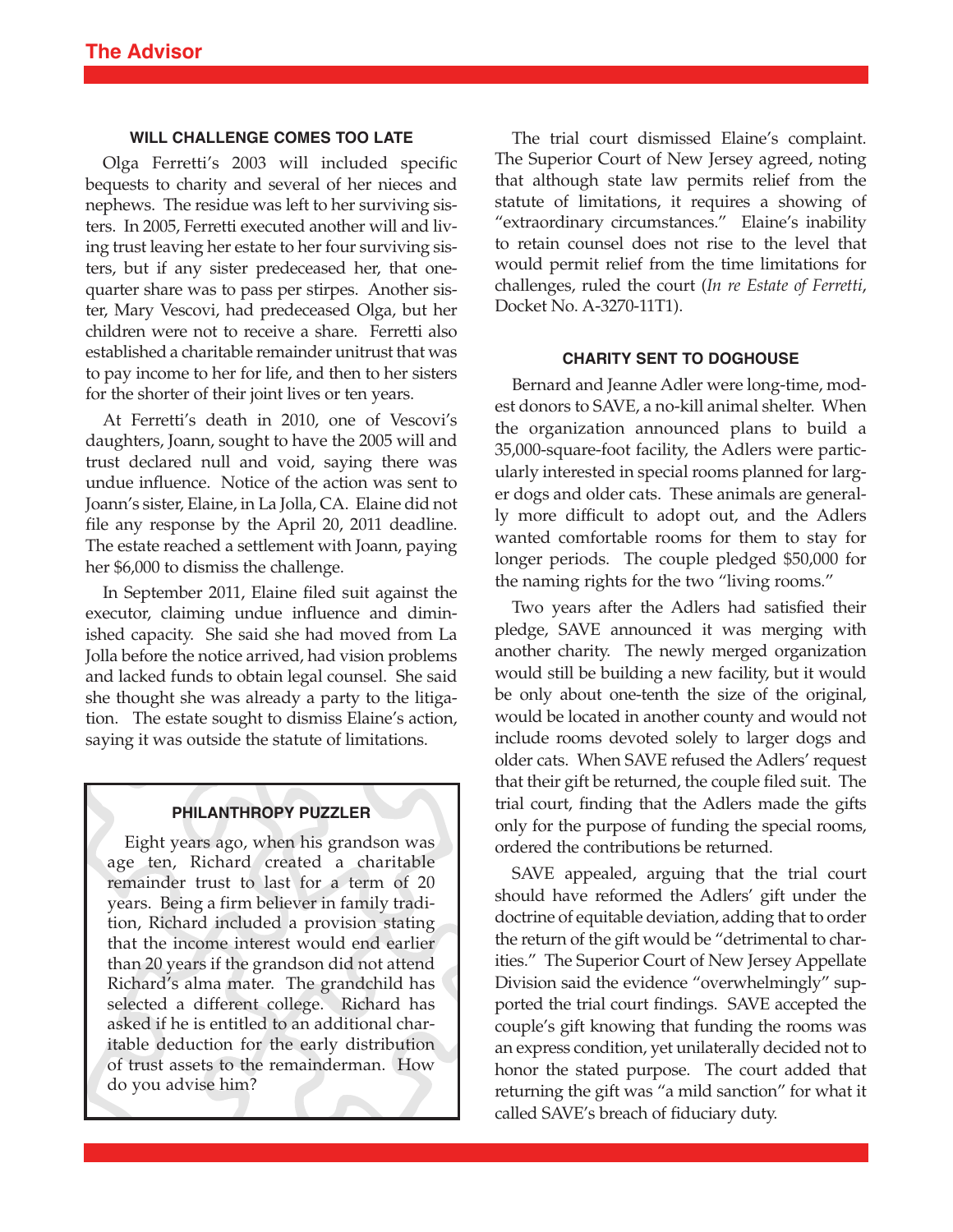## **WILL CHALLENGE COMES TOO LATE**

Olga Ferretti's 2003 will included specific bequests to charity and several of her nieces and nephews. The residue was left to her surviving sisters. In 2005, Ferretti executed another will and living trust leaving her estate to her four surviving sisters, but if any sister predeceased her, that onequarter share was to pass per stirpes. Another sister, Mary Vescovi, had predeceased Olga, but her children were not to receive a share. Ferretti also established a charitable remainder unitrust that was to pay income to her for life, and then to her sisters for the shorter of their joint lives or ten years.

At Ferretti's death in 2010, one of Vescovi's daughters, Joann, sought to have the 2005 will and trust declared null and void, saying there was undue influence. Notice of the action was sent to Joann's sister, Elaine, in La Jolla, CA. Elaine did not file any response by the April 20, 2011 deadline. The estate reached a settlement with Joann, paying her \$6,000 to dismiss the challenge.

In September 2011, Elaine filed suit against the executor, claiming undue influence and diminished capacity. She said she had moved from La Jolla before the notice arrived, had vision problems and lacked funds to obtain legal counsel. She said she thought she was already a party to the litigation. The estate sought to dismiss Elaine's action, saying it was outside the statute of limitations.

# **PHILANTHROPY PUZZLER**

Eight years ago, when his grandson was age ten, Richard created a charitable remainder trust to last for a term of 20 years. Being a firm believer in family tradition, Richard included a provision stating that the income interest would end earlier than 20 years if the grandson did not attend Richard's alma mater. The grandchild has selected a different college. Richard has asked if he is entitled to an additional charitable deduction for the early distribution of trust assets to the remainderman. How do you advise him?

The trial court dismissed Elaine's complaint. The Superior Court of New Jersey agreed, noting that although state law permits relief from the statute of limitations, it requires a showing of "extraordinary circumstances." Elaine's inability to retain counsel does not rise to the level that would permit relief from the time limitations for challenges, ruled the court (*In re Estate of Ferretti*, Docket No. A-3270-11T1).

### **CHARITY SENT TO DOGHOUSE**

Bernard and Jeanne Adler were long-time, modest donors to SAVE, a no-kill animal shelter. When the organization announced plans to build a 35,000-square-foot facility, the Adlers were particularly interested in special rooms planned for larger dogs and older cats. These animals are generally more difficult to adopt out, and the Adlers wanted comfortable rooms for them to stay for longer periods. The couple pledged \$50,000 for the naming rights for the two "living rooms."

Two years after the Adlers had satisfied their pledge, SAVE announced it was merging with another charity. The newly merged organization would still be building a new facility, but it would be only about one-tenth the size of the original, would be located in another county and would not include rooms devoted solely to larger dogs and older cats. When SAVE refused the Adlers' request that their gift be returned, the couple filed suit. The trial court, finding that the Adlers made the gifts only for the purpose of funding the special rooms, ordered the contributions be returned.

SAVE appealed, arguing that the trial court should have reformed the Adlers' gift under the doctrine of equitable deviation, adding that to order the return of the gift would be "detrimental to charities." The Superior Court of New Jersey Appellate Division said the evidence "overwhelmingly" supported the trial court findings. SAVE accepted the couple's gift knowing that funding the rooms was an express condition, yet unilaterally decided not to honor the stated purpose. The court added that returning the gift was "a mild sanction" for what it called SAVE's breach of fiduciary duty.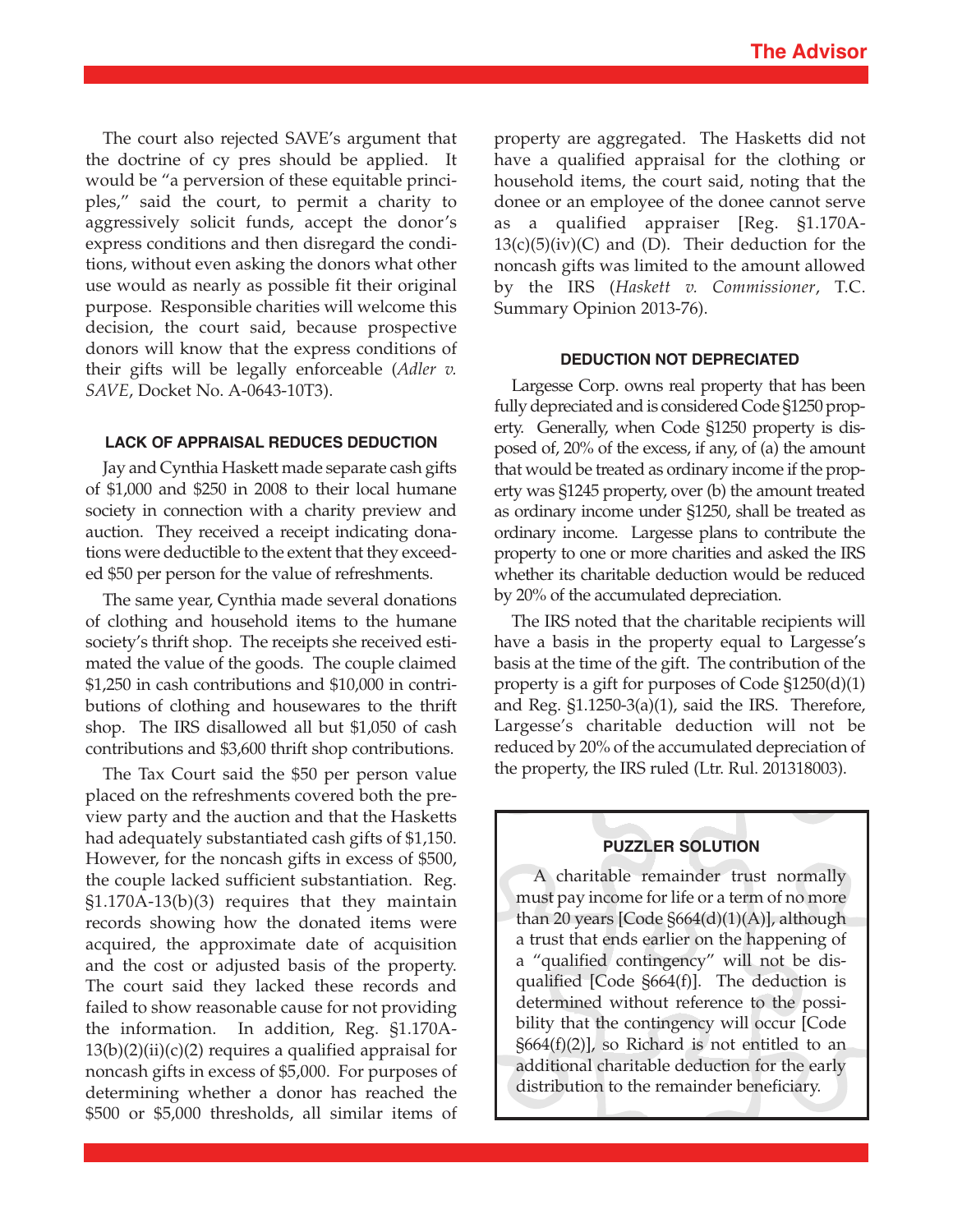The court also rejected SAVE's argument that the doctrine of cy pres should be applied. It would be "a perversion of these equitable principles," said the court, to permit a charity to aggressively solicit funds, accept the donor's express conditions and then disregard the conditions, without even asking the donors what other use would as nearly as possible fit their original purpose. Responsible charities will welcome this decision, the court said, because prospective donors will know that the express conditions of their gifts will be legally enforceable (*Adler v. SAVE*, Docket No. A-0643-10T3).

#### **LACK OF APPRAISAL REDUCES DEDUCTION**

Jay and Cynthia Haskett made separate cash gifts of \$1,000 and \$250 in 2008 to their local humane society in connection with a charity preview and auction. They received a receipt indicating donations were deductible to the extent that they exceeded \$50 per person for the value of refreshments.

The same year, Cynthia made several donations of clothing and household items to the humane society's thrift shop. The receipts she received estimated the value of the goods. The couple claimed \$1,250 in cash contributions and \$10,000 in contributions of clothing and housewares to the thrift shop. The IRS disallowed all but \$1,050 of cash contributions and \$3,600 thrift shop contributions.

The Tax Court said the \$50 per person value placed on the refreshments covered both the preview party and the auction and that the Hasketts had adequately substantiated cash gifts of \$1,150. However, for the noncash gifts in excess of \$500, the couple lacked sufficient substantiation. Reg. §1.170A-13(b)(3) requires that they maintain records showing how the donated items were acquired, the approximate date of acquisition and the cost or adjusted basis of the property. The court said they lacked these records and failed to show reasonable cause for not providing the information. In addition, Reg. §1.170A- $13(b)(2)(ii)(c)(2)$  requires a qualified appraisal for noncash gifts in excess of \$5,000. For purposes of determining whether a donor has reached the \$500 or \$5,000 thresholds, all similar items of property are aggregated. The Hasketts did not have a qualified appraisal for the clothing or household items, the court said, noting that the donee or an employee of the donee cannot serve as a qualified appraiser [Reg. §1.170A- $13(c)(5)(iv)(C)$  and (D). Their deduction for the noncash gifts was limited to the amount allowed by the IRS (*Haskett v. Commissioner*, T.C. Summary Opinion 2013-76).

#### **DEDUCTION NOT DEPRECIATED**

Largesse Corp. owns real property that has been fully depreciated and is considered Code §1250 property. Generally, when Code §1250 property is disposed of, 20% of the excess, if any, of (a) the amount that would be treated as ordinary income if the property was §1245 property, over (b) the amount treated as ordinary income under §1250, shall be treated as ordinary income. Largesse plans to contribute the property to one or more charities and asked the IRS whether its charitable deduction would be reduced by 20% of the accumulated depreciation.

The IRS noted that the charitable recipients will have a basis in the property equal to Largesse's basis at the time of the gift. The contribution of the property is a gift for purposes of Code §1250(d)(1) and Reg. §1.1250-3(a)(1), said the IRS. Therefore, Largesse's charitable deduction will not be reduced by 20% of the accumulated depreciation of the property, the IRS ruled (Ltr. Rul. 201318003).

## **PUZZLER SOLUTION**

A charitable remainder trust normally must pay income for life or a term of no more than 20 years  $[Code 8664(d)(1)(A)]$ , although a trust that ends earlier on the happening of a "qualified contingency" will not be disqualified [Code §664(f)]. The deduction is determined without reference to the possibility that the contingency will occur [Code  $\S664(f)(2)$ , so Richard is not entitled to an additional charitable deduction for the early distribution to the remainder beneficiary.